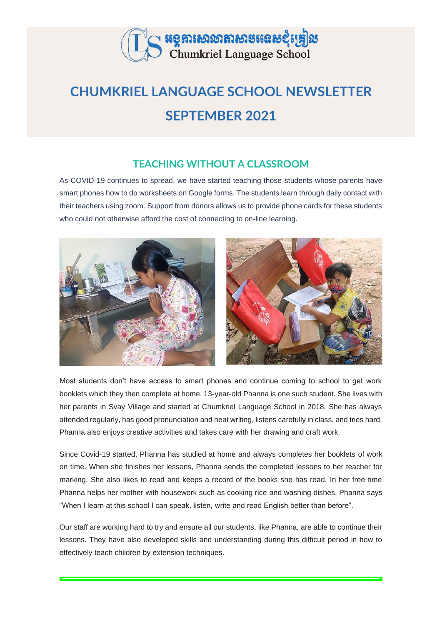

# **CHUMKRIEL LANGUAGE SCHOOL NEWSLETTER SEPTEMBER 2021**

## **TEACHING WITHOUT A CLASSROOM**

As COVID-19 continues to spread, we have started teaching those students whose parents have smart phones how to do worksheets on Google forms. The students learn through daily contact with their teachers using zoom. Support from donors allows us to provide phone cards for these students who could not otherwise afford the cost of connecting to on-line learning.



Most students don't have access to smart phones and continue coming to school to get work booklets which they then complete at home. 13-year-old Phanna is one such student. She lives with her parents in Svay Village and started at Chumkriel Language School in 2018. She has always attended regularly, has good pronunciation and neat writing, listens carefully in class, and tries hard. Phanna also enjoys creative activities and takes care with her drawing and craft work.

Since Covid-19 started, Phanna has studied at home and always completes her booklets of work on time. When she finishes her lessons, Phanna sends the completed lessons to her teacher for marking. She also likes to read and keeps a record of the books she has read. In her free time Phanna helps her mother with housework such as cooking rice and washing dishes. Phanna says "When I learn at this school I can speak, listen, write and read English better than before".

Our staff are working hard to try and ensure all our students, like Phanna, are able to continue their lessons. They have also developed skills and understanding during this difficult period in how to effectively teach children by extension techniques.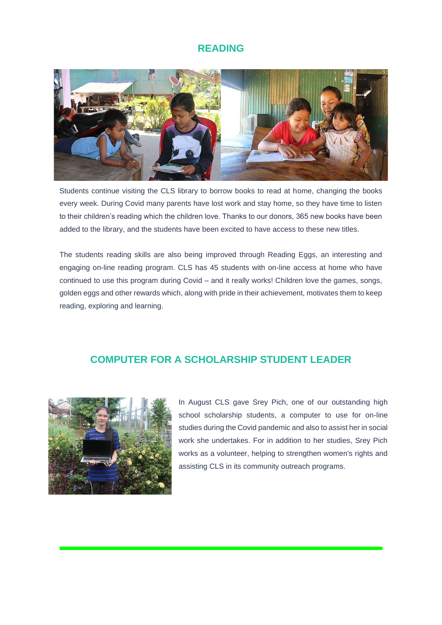#### **READING**



Students continue visiting the CLS library to borrow books to read at home, changing the books every week. During Covid many parents have lost work and stay home, so they have time to listen to their children's reading which the children love. Thanks to our donors, 365 new books have been added to the library, and the students have been excited to have access to these new titles.

The students reading skills are also being improved through Reading Eggs, an interesting and engaging on-line reading program. CLS has 45 students with on-line access at home who have continued to use this program during Covid – and it really works! Children love the games, songs, golden eggs and other rewards which, along with pride in their achievement, motivates them to keep reading, exploring and learning.

#### **COMPUTER FOR A SCHOLARSHIP STUDENT LEADER**



In August CLS gave Srey Pich, one of our outstanding high school scholarship students, a computer to use for on-line studies during the Covid pandemic and also to assist her in social work she undertakes. For in addition to her studies, Srey Pich works as a volunteer, helping to strengthen women's rights and assisting CLS in its community outreach programs.